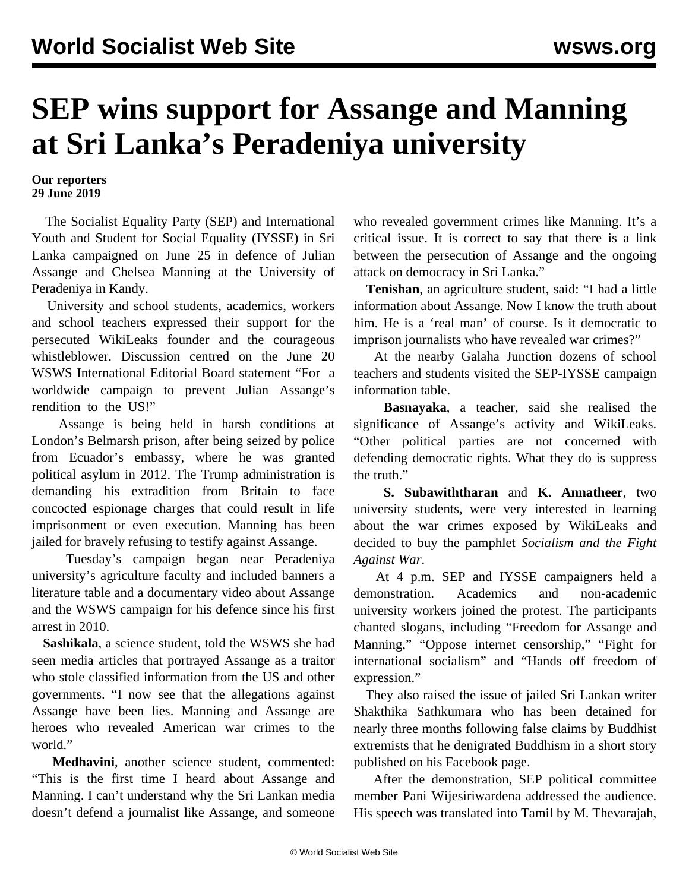## **SEP wins support for Assange and Manning at Sri Lanka's Peradeniya university**

## **Our reporters 29 June 2019**

 The Socialist Equality Party (SEP) and International Youth and Student for Social Equality (IYSSE) in Sri Lanka campaigned on June 25 in defence of Julian Assange and Chelsea Manning at the University of Peradeniya in Kandy.

 University and school students, academics, workers and school teachers expressed their support for the persecuted WikiLeaks founder and the courageous whistleblower. Discussion centred on the June 20 WSWS International Editorial Board statement "[For a](/en/articles/2019/06/20/pers-j20.html) [worldwide campaign to prevent Julian Assange's](/en/articles/2019/06/20/pers-j20.html) [rendition to the US!](/en/articles/2019/06/20/pers-j20.html)"

 Assange is being held in harsh conditions at London's Belmarsh prison, after being seized by police from Ecuador's embassy, where he was granted political asylum in 2012. The Trump administration is demanding his extradition from Britain to face concocted espionage charges that could result in life imprisonment or even execution. Manning has been jailed for bravely refusing to testify against Assange.

 Tuesday's campaign began near Peradeniya university's agriculture faculty and included banners a literature table and a documentary video about Assange and the WSWS campaign for his defence since his first arrest in 2010.

 **Sashikala**, a science student, told the WSWS she had seen media articles that portrayed Assange as a traitor who stole classified information from the US and other governments. "I now see that the allegations against Assange have been lies. Manning and Assange are heroes who revealed American war crimes to the world."

 **Medhavini**, another science student, commented: "This is the first time I heard about Assange and Manning. I can't understand why the Sri Lankan media doesn't defend a journalist like Assange, and someone

who revealed government crimes like Manning. It's a critical issue. It is correct to say that there is a link between the persecution of Assange and the ongoing attack on democracy in Sri Lanka."

 **Tenishan**, an agriculture student, said: "I had a little information about Assange. Now I know the truth about him. He is a 'real man' of course. Is it democratic to imprison journalists who have revealed war crimes?"

 At the nearby Galaha Junction dozens of school teachers and students visited the SEP-IYSSE campaign information table.

 **Basnayaka**, a teacher, said she realised the significance of Assange's activity and WikiLeaks. "Other political parties are not concerned with defending democratic rights. What they do is suppress the truth."

 **S. Subawiththaran** and **K. Annatheer**, two university students, were very interested in learning about the war crimes exposed by WikiLeaks and decided to buy the pamphlet *Socialism and the Fight Against War*.

 At 4 p.m. SEP and IYSSE campaigners held a demonstration. Academics and non-academic university workers joined the protest. The participants chanted slogans, including "Freedom for Assange and Manning," "Oppose internet censorship," "Fight for international socialism" and "Hands off freedom of expression."

 They also raised the issue of jailed Sri Lankan writer Shakthika Sathkumara who has been [detained](/en/articles/2019/04/13/writ-a13.html) for nearly three months following false claims by Buddhist extremists that he denigrated Buddhism in a short story published on his Facebook page.

 After the demonstration, SEP political committee member Pani Wijesiriwardena addressed the audience. His speech was translated into Tamil by M. Thevarajah,